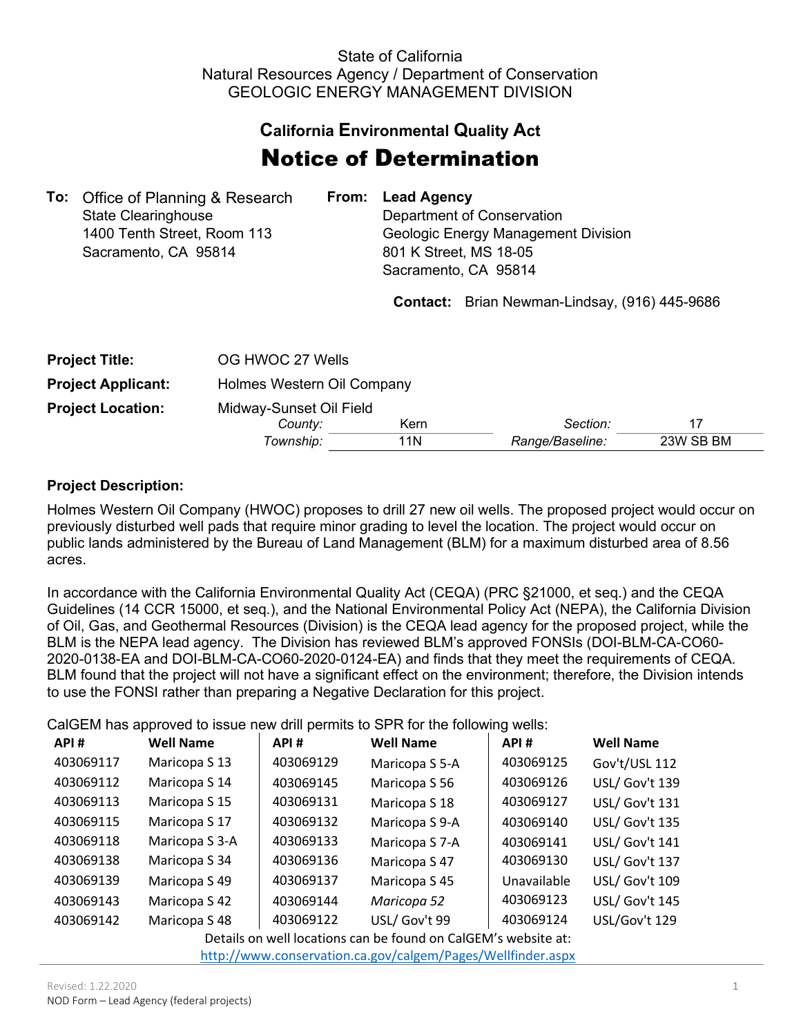## State of California Natural Resources Agency / Department of Conservation GEOLOGIC ENERGY MANAGEMENT DIVISION

## **California Environmental Quality Act**

## Notice of Determination

|                             |                                          | From: Lead Agency                   |
|-----------------------------|------------------------------------------|-------------------------------------|
| <b>State Clearinghouse</b>  |                                          | Department of Conservation          |
| 1400 Tenth Street, Room 113 |                                          | Geologic Energy Management Division |
| Sacramento, CA 95814        |                                          | 801 K Street, MS 18-05              |
|                             |                                          | Sacramento, CA 95814                |
|                             | <b>To:</b> Office of Planning & Research |                                     |

**Contact:** Brian Newman-Lindsay, (916) 445-9686

| <b>Project Title:</b>     | OG HWOC 27 Wells                   |             |                 |           |  |  |  |
|---------------------------|------------------------------------|-------------|-----------------|-----------|--|--|--|
| <b>Project Applicant:</b> | Holmes Western Oil Company         |             |                 |           |  |  |  |
| <b>Project Location:</b>  | Midway-Sunset Oil Field<br>County: | Section:    | 17              |           |  |  |  |
|                           | Township:                          | Kern<br>11N | Range/Baseline: | 23W SB BM |  |  |  |

## **Project Description:**

Holmes Western Oil Company (HWOC) proposes to drill 27 new oil wells. The proposed project would occur on previously disturbed well pads that require minor grading to level the location. The project would occur on public lands administered by the Bureau of Land Management (BLM) for a maximum disturbed area of 8.56 acres.

In accordance with the California Environmental Quality Act (CEQA) (PRC §21000, et seq.) and the CEQA Guidelines (14 CCR 15000, et seq.), and the National Environmental Policy Act (NEPA), the California Division of Oil, Gas, and Geothermal Resources (Division) is the CEQA lead agency for the proposed project, while the BLM is the NEPA lead agency. The Division has reviewed BLM's approved FONSIs (DOI-BLM-CA-CO60- 2020-0138-EA and DOI-BLM-CA-CO60-2020-0124-EA) and finds that they meet the requirements of CEQA. BLM found that the project will not have a significant effect on the environment; therefore, the Division intends to use the FONSI rather than preparing a Negative Declaration for this project.

CalGEM has approved to issue new drill permits to SPR for the following wells:

| API#      | <b>Well Name</b> | API#      | <b>Well Name</b> | API#        | <b>Well Name</b> |
|-----------|------------------|-----------|------------------|-------------|------------------|
| 403069117 | Maricopa S 13    | 403069129 | Maricopa S 5-A   | 403069125   | Gov't/USL 112    |
| 403069112 | Maricopa S 14    | 403069145 | Maricopa S 56    | 403069126   | USL/ Gov't 139   |
| 403069113 | Maricopa S 15    | 403069131 | Maricopa S 18    | 403069127   | USL/ Gov't 131   |
| 403069115 | Maricopa S 17    | 403069132 | Maricopa S 9-A   | 403069140   | USL/ Gov't 135   |
| 403069118 | Maricopa S 3-A   | 403069133 | Maricopa S 7-A   | 403069141   | USL/ Gov't 141   |
| 403069138 | Maricopa S 34    | 403069136 | Maricopa S 47    | 403069130   | USL/ Gov't 137   |
| 403069139 | Maricopa S 49    | 403069137 | Maricopa S 45    | Unavailable | USL/ Gov't 109   |
| 403069143 | Maricopa S 42    | 403069144 | Maricopa 52      | 403069123   | USL/ Gov't 145   |
| 403069142 | Maricopa S 48    | 403069122 | USL/ Gov't 99    | 403069124   | USL/Gov't 129    |

Details on well locations can be found on CalGEM's website at:

<http://www.conservation.ca.gov/calgem/Pages/Wellfinder.aspx>